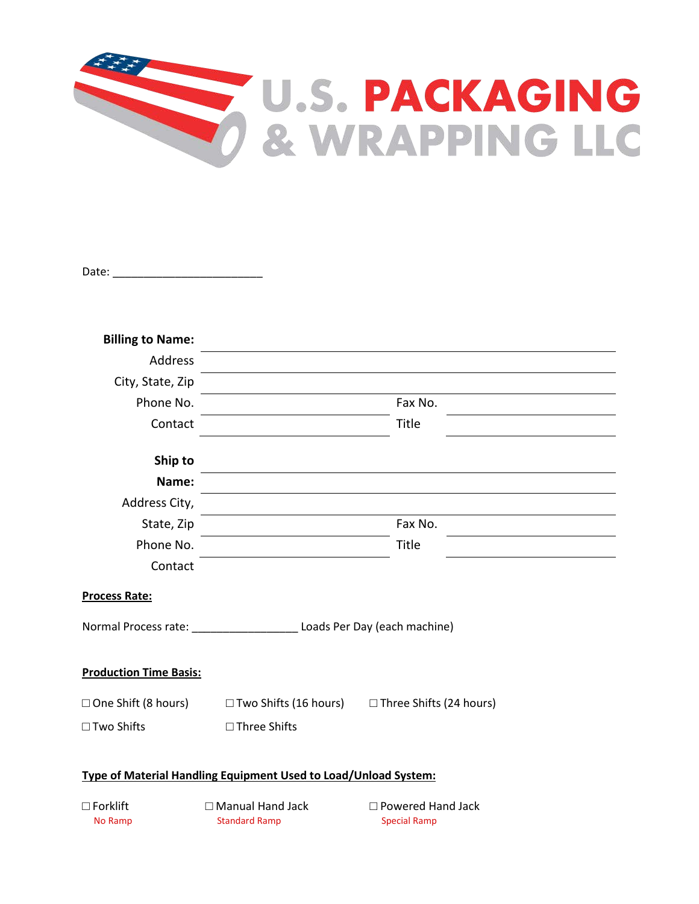

| Date:                         |                                                                 |                                            |  |
|-------------------------------|-----------------------------------------------------------------|--------------------------------------------|--|
|                               |                                                                 |                                            |  |
| <b>Billing to Name:</b>       |                                                                 |                                            |  |
| Address                       |                                                                 |                                            |  |
| City, State, Zip              |                                                                 |                                            |  |
| Phone No.                     |                                                                 | Fax No.                                    |  |
| Contact                       |                                                                 | Title                                      |  |
| Ship to                       |                                                                 |                                            |  |
| Name:                         |                                                                 |                                            |  |
| Address City,                 |                                                                 |                                            |  |
| State, Zip                    |                                                                 | Fax No.                                    |  |
| Phone No.                     |                                                                 | Title                                      |  |
| Contact                       |                                                                 |                                            |  |
| <b>Process Rate:</b>          |                                                                 |                                            |  |
|                               | Normal Process rate: Loads Per Day (each machine)               |                                            |  |
| <b>Production Time Basis:</b> |                                                                 |                                            |  |
|                               | □ One Shift (8 hours)   □ Two Shifts (16 hours)                 | □ Three Shifts (24 hours)                  |  |
| □ Two Shifts                  | □ Three Shifts                                                  |                                            |  |
|                               | Type of Material Handling Equipment Used to Load/Unload System: |                                            |  |
| $\square$ Forklift<br>No Ramp | $\Box$ Manual Hand Jack<br><b>Standard Ramp</b>                 | □ Powered Hand Jack<br><b>Special Ramp</b> |  |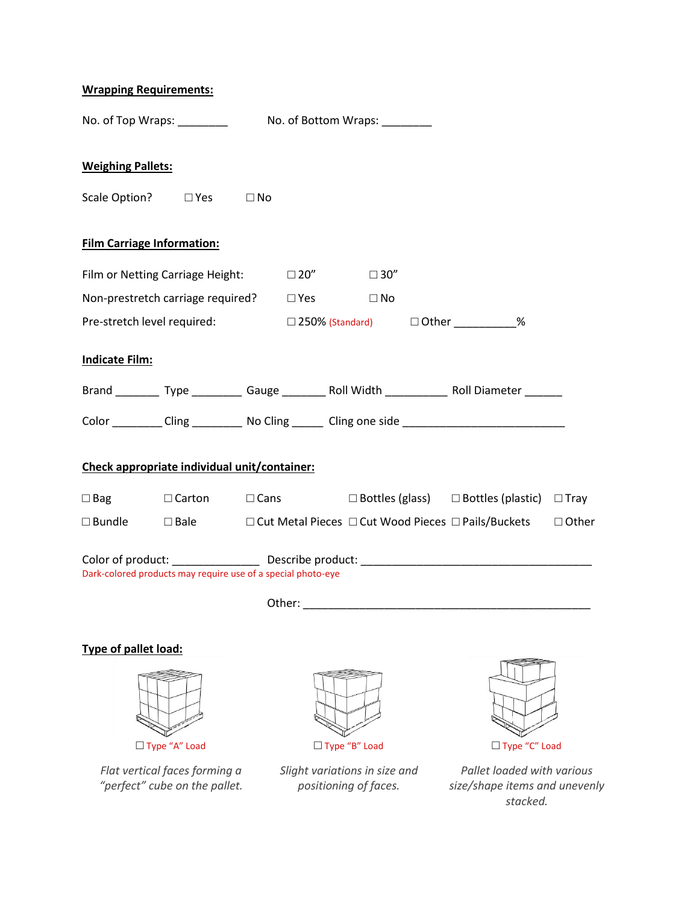## **Wrapping Requirements:**

*"perfect" cube on the pallet.*

|                       | <b>Weighing Pallets:</b>                                                                |  |                               |                                                                                                                |              |
|-----------------------|-----------------------------------------------------------------------------------------|--|-------------------------------|----------------------------------------------------------------------------------------------------------------|--------------|
|                       | Scale Option? □ Yes □ No                                                                |  |                               |                                                                                                                |              |
|                       | <b>Film Carriage Information:</b>                                                       |  |                               |                                                                                                                |              |
|                       | Film or Netting Carriage Height:                                                        |  | $\Box$ 20" $\Box$ 30"         |                                                                                                                |              |
|                       | Non-prestretch carriage required? □ Yes □ No                                            |  |                               |                                                                                                                |              |
|                       | Pre-stretch level required:                                                             |  |                               | $\square$ 250% (Standard) $\square$ Other __________%                                                          |              |
| <b>Indicate Film:</b> |                                                                                         |  |                               |                                                                                                                |              |
|                       | Brand ___________ Type ____________ Gauge ___________________Roll Diameter ____________ |  |                               |                                                                                                                |              |
|                       |                                                                                         |  |                               |                                                                                                                |              |
|                       | Check appropriate individual unit/container:                                            |  |                               |                                                                                                                |              |
|                       | □ Bag     □ Carton    □ Cans       □ Bottles (glass)   □ Bottles (plastic)  □ Tray      |  |                               |                                                                                                                |              |
| $\square$ Bundle      | □ Bale $□$ Cut Metal Pieces $□$ Cut Wood Pieces $□$ Pails/Buckets                       |  |                               |                                                                                                                | $\Box$ Other |
|                       | Dark-colored products may require use of a special photo-eye                            |  |                               |                                                                                                                |              |
|                       |                                                                                         |  |                               | Other: University of the Commission of the Commission of the Commission of the Commission of the Commission of |              |
|                       | Type of pallet load:                                                                    |  |                               |                                                                                                                |              |
|                       |                                                                                         |  |                               |                                                                                                                |              |
|                       | □ Type "A" Load                                                                         |  | □ Type "B" Load               | □ Type "C" Load                                                                                                |              |
|                       | Flat vertical faces forming a                                                           |  | Slight variations in size and | Pallet loaded with various                                                                                     |              |

*positioning of faces.*

*size/shape items and unevenly stacked.*